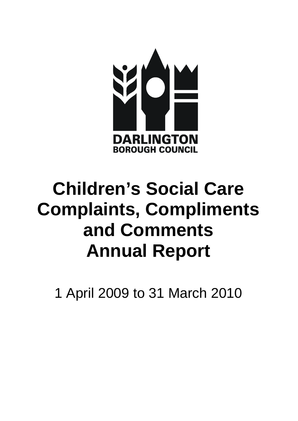

# **Children's Social Care Complaints, Compliments and Comments Annual Report**

1 April 2009 to 31 March 2010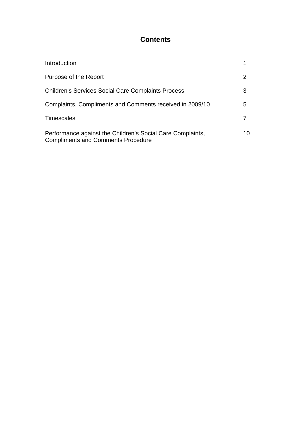# **Contents**

| Introduction                                                                                            |    |
|---------------------------------------------------------------------------------------------------------|----|
| Purpose of the Report                                                                                   | 2  |
| <b>Children's Services Social Care Complaints Process</b>                                               | З  |
| Complaints, Compliments and Comments received in 2009/10                                                | 5  |
| <b>Timescales</b>                                                                                       |    |
| Performance against the Children's Social Care Complaints,<br><b>Compliments and Comments Procedure</b> | 10 |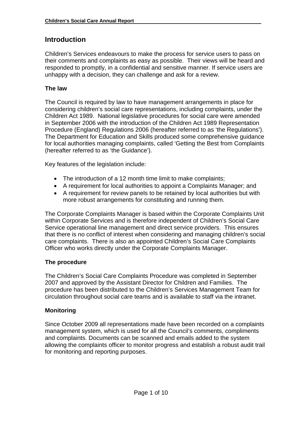# **Introduction**

Children's Services endeavours to make the process for service users to pass on their comments and complaints as easy as possible. Their views will be heard and responded to promptly, in a confidential and sensitive manner. If service users are unhappy with a decision, they can challenge and ask for a review.

#### **The law**

The Council is required by law to have management arrangements in place for considering children's social care representations, including complaints, under the Children Act 1989. National legislative procedures for social care were amended in September 2006 with the introduction of the Children Act 1989 Representation Procedure (England) Regulations 2006 (hereafter referred to as 'the Regulations'). The Department for Education and Skills produced some comprehensive guidance for local authorities managing complaints, called 'Getting the Best from Complaints (hereafter referred to as 'the Guidance').

Key features of the legislation include:

- The introduction of a 12 month time limit to make complaints;
- A requirement for local authorities to appoint a Complaints Manager; and
- A requirement for review panels to be retained by local authorities but with more robust arrangements for constituting and running them.

The Corporate Complaints Manager is based within the Corporate Complaints Unit within Corporate Services and is therefore independent of Children's Social Care Service operational line management and direct service providers. This ensures that there is no conflict of interest when considering and managing children's social care complaints. There is also an appointed Children's Social Care Complaints Officer who works directly under the Corporate Complaints Manager.

#### **The procedure**

The Children's Social Care Complaints Procedure was completed in September 2007 and approved by the Assistant Director for Children and Families. The procedure has been distributed to the Children's Services Management Team for circulation throughout social care teams and is available to staff via the intranet.

#### **Monitoring**

Since October 2009 all representations made have been recorded on a complaints management system, which is used for all the Council's comments, compliments and complaints. Documents can be scanned and emails added to the system allowing the complaints officer to monitor progress and establish a robust audit trail for monitoring and reporting purposes.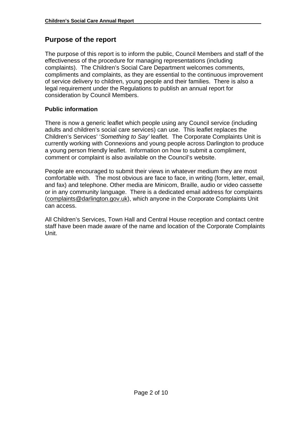# **Purpose of the report**

The purpose of this report is to inform the public, Council Members and staff of the effectiveness of the procedure for managing representations (including complaints). The Children's Social Care Department welcomes comments, compliments and complaints, as they are essential to the continuous improvement of service delivery to children, young people and their families. There is also a legal requirement under the Regulations to publish an annual report for consideration by Council Members.

# **Public information**

There is now a generic leaflet which people using any Council service (including adults and children's social care services) can use. This leaflet replaces the Children's Services' '*Something to Say'* leaflet. The Corporate Complaints Unit is currently working with Connexions and young people across Darlington to produce a young person friendly leaflet. Information on how to submit a compliment, comment or complaint is also available on the Council's website.

People are encouraged to submit their views in whatever medium they are most comfortable with. The most obvious are face to face, in writing (form, letter, email, and fax) and telephone. Other media are Minicom, Braille, audio or video cassette or in any community language. There is a dedicated email address for complaints ([complaints@darlington.gov.uk\)](mailto:complaints@darlington.gov.uk), which anyone in the Corporate Complaints Unit can access.

All Children's Services, Town Hall and Central House reception and contact centre staff have been made aware of the name and location of the Corporate Complaints Unit.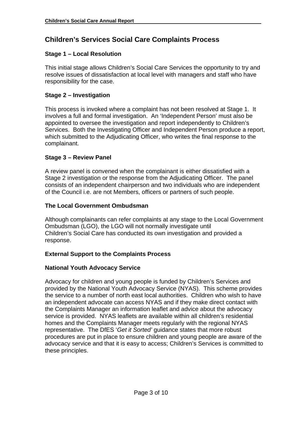# **Children's Services Social Care Complaints Process**

## **Stage 1 – Local Resolution**

This initial stage allows Children's Social Care Services the opportunity to try and resolve issues of dissatisfaction at local level with managers and staff who have responsibility for the case.

## **Stage 2 – Investigation**

This process is invoked where a complaint has not been resolved at Stage 1. It involves a full and formal investigation. An 'Independent Person' must also be appointed to oversee the investigation and report independently to Children's Services. Both the Investigating Officer and Independent Person produce a report, which submitted to the Adjudicating Officer, who writes the final response to the complainant.

# **Stage 3 – Review Panel**

A review panel is convened when the complainant is either dissatisfied with a Stage 2 investigation or the response from the Adjudicating Officer. The panel consists of an independent chairperson and two individuals who are independent of the Council i.e. are not Members, officers or partners of such people.

#### **The Local Government Ombudsman**

Although complainants can refer complaints at any stage to the Local Government Ombudsman (LGO), the LGO will not normally investigate until Children's Social Care has conducted its own investigation and provided a response.

#### **External Support to the Complaints Process**

#### **National Youth Advocacy Service**

Advocacy for children and young people is funded by Children's Services and provided by the National Youth Advocacy Service (NYAS). This scheme provides the service to a number of north east local authorities. Children who wish to have an independent advocate can access NYAS and if they make direct contact with the Complaints Manager an information leaflet and advice about the advocacy service is provided. NYAS leaflets are available within all children's residential homes and the Complaints Manager meets regularly with the regional NYAS representative. The DfES '*Get it Sorted'* guidance states that more robust procedures are put in place to ensure children and young people are aware of the advocacy service and that it is easy to access; Children's Services is committed to these principles.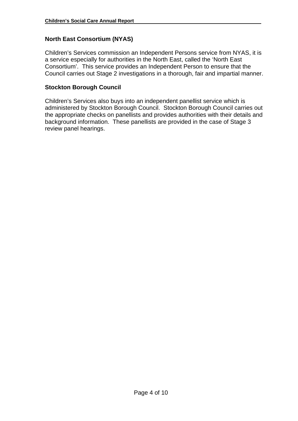## **North East Consortium (NYAS)**

Children's Services commission an Independent Persons service from NYAS, it is a service especially for authorities in the North East, called the 'North East Consortium'. This service provides an Independent Person to ensure that the Council carries out Stage 2 investigations in a thorough, fair and impartial manner.

#### **Stockton Borough Council**

Children's Services also buys into an independent panellist service which is administered by Stockton Borough Council. Stockton Borough Council carries out the appropriate checks on panellists and provides authorities with their details and background information. These panellists are provided in the case of Stage 3 review panel hearings.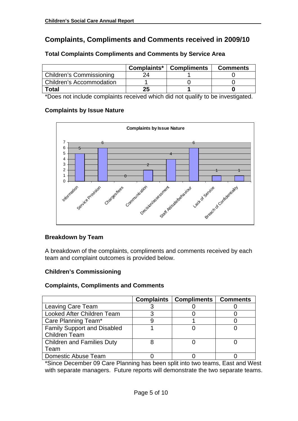# **Complaints, Compliments and Comments received in 2009/10**

|                                 | Complaints* | <b>Compliments</b> | <b>Comments</b> |
|---------------------------------|-------------|--------------------|-----------------|
| <b>Children's Commissioning</b> |             |                    |                 |
| <b>Children's Accommodation</b> |             |                    |                 |
| <b>Total</b>                    | 25          |                    |                 |

#### **Total Complaints Compliments and Comments by Service Area**

\*Does not include complaints received which did not qualify to be investigated.

#### **Complaints by Issue Nature**



#### **Breakdown by Team**

A breakdown of the complaints, compliments and comments received by each team and complaint outcomes is provided below.

#### **Children's Commissioning**

#### **Complaints, Compliments and Comments**

|                                    | <b>Complaints</b> | <b>Compliments</b> | <b>Comments</b> |
|------------------------------------|-------------------|--------------------|-----------------|
| Leaving Care Team                  |                   |                    |                 |
| Looked After Children Team         |                   |                    |                 |
| Care Planning Team*                |                   |                    |                 |
| <b>Family Support and Disabled</b> |                   |                    |                 |
| <b>Children Team</b>               |                   |                    |                 |
| <b>Children and Families Duty</b>  |                   |                    |                 |
| Team                               |                   |                    |                 |
| Domestic Abuse Team                |                   |                    |                 |

\*Since December 09 Care Planning has been split into two teams, East and West with separate managers. Future reports will demonstrate the two separate teams.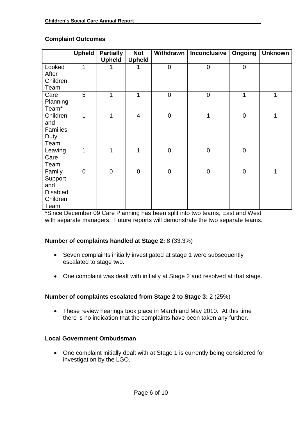#### **Complaint Outcomes**

|                                                                 | <b>Upheld</b> | <b>Partially</b><br><b>Upheld</b> | <b>Not</b><br><b>Upheld</b> |             | Withdrawn   Inconclusive | Ongoing     | <b>Unknown</b> |
|-----------------------------------------------------------------|---------------|-----------------------------------|-----------------------------|-------------|--------------------------|-------------|----------------|
| Looked<br>After<br>Children<br>Team                             | 1             |                                   |                             | $\mathbf 0$ | $\mathbf 0$              | $\mathbf 0$ |                |
| Care<br>Planning<br>Team <sup>*</sup>                           | 5             | 1                                 | 1                           | $\mathsf 0$ | $\boldsymbol{0}$         | 1           | 1              |
| Children<br>and<br><b>Families</b><br>Duty<br>Team              | 1             | 1                                 | $\overline{\mathcal{A}}$    | $\mathbf 0$ | 1                        | $\mathbf 0$ | 1              |
| Leaving<br>Care<br>Team                                         | 1             | 1                                 | 1                           | $\mathbf 0$ | $\boldsymbol{0}$         | $\mathbf 0$ |                |
| Family<br>Support<br>and<br><b>Disabled</b><br>Children<br>Team | $\mathbf 0$   | $\mathbf 0$                       | $\overline{0}$              | $\mathbf 0$ | $\mathbf 0$              | $\mathbf 0$ | $\mathbf 1$    |

\*Since December 09 Care Planning has been split into two teams, East and West with separate managers. Future reports will demonstrate the two separate teams.

#### **Number of complaints handled at Stage 2:** 8 (33.3%)

- Seven complaints initially investigated at stage 1 were subsequently escalated to stage two.
- One complaint was dealt with initially at Stage 2 and resolved at that stage.

#### **Number of complaints escalated from Stage 2 to Stage 3:** 2 (25%)

• These review hearings took place in March and May 2010. At this time there is no indication that the complaints have been taken any further.

#### **Local Government Ombudsman**

• One complaint initially dealt with at Stage 1 is currently being considered for investigation by the LGO.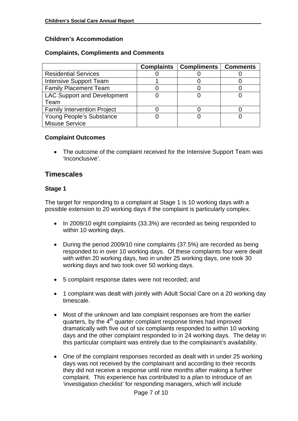#### **Children's Accommodation**

#### **Complaints, Compliments and Comments**

|                                    | <b>Complaints</b> | <b>Compliments</b> | <b>Comments</b> |
|------------------------------------|-------------------|--------------------|-----------------|
| <b>Residential Services</b>        |                   |                    |                 |
| Intensive Support Team             |                   |                    |                 |
| <b>Family Placement Team</b>       |                   |                    |                 |
| <b>LAC Support and Development</b> |                   |                    |                 |
| Team                               |                   |                    |                 |
| <b>Family Intervention Project</b> |                   |                    |                 |
| Young People's Substance           |                   |                    |                 |
| <b>Misuse Service</b>              |                   |                    |                 |

#### **Complaint Outcomes**

• The outcome of the complaint received for the Intensive Support Team was 'Inconclusive'.

# **Timescales**

#### **Stage 1**

The target for responding to a complaint at Stage 1 is 10 working days with a possible extension to 20 working days if the complaint is particularly complex.

- In 2009/10 eight complaints (33.3%) are recorded as being responded to within 10 working days.
- During the period 2009/10 nine complaints (37.5%) are recorded as being responded to in over 10 working days. Of these complaints four were dealt with within 20 working days, two in under 25 working days, one took 30 working days and two took over 50 working days.
- 5 complaint response dates were not recorded; and
- 1 complaint was dealt with jointly with Adult Social Care on a 20 working day timescale.
- Most of the unknown and late complaint responses are from the earlier quarters, by the 4<sup>th</sup> quarter complaint response times had improved dramatically with five out of six complaints responded to within 10 working days and the other complaint responded to in 24 working days. The delay in this particular complaint was entirely due to the complainant's availability.
- One of the complaint responses recorded as dealt with in under 25 working days was not received by the complainant and according to their records they did not receive a response until nine months after making a further complaint. This experience has contributed to a plan to introduce of an 'investigation checklist' for responding managers, which will include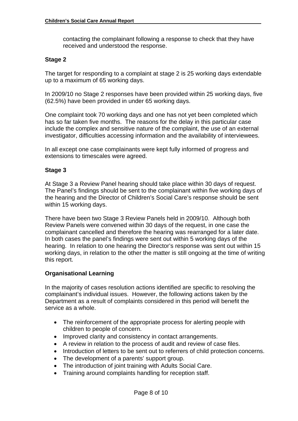contacting the complainant following a response to check that they have received and understood the response.

#### **Stage 2**

The target for responding to a complaint at stage 2 is 25 working days extendable up to a maximum of 65 working days.

In 2009/10 no Stage 2 responses have been provided within 25 working days, five (62.5%) have been provided in under 65 working days.

One complaint took 70 working days and one has not yet been completed which has so far taken five months. The reasons for the delay in this particular case include the complex and sensitive nature of the complaint, the use of an external investigator, difficulties accessing information and the availability of interviewees.

In all except one case complainants were kept fully informed of progress and extensions to timescales were agreed.

#### **Stage 3**

At Stage 3 a Review Panel hearing should take place within 30 days of request. The Panel's findings should be sent to the complainant within five working days of the hearing and the Director of Children's Social Care's response should be sent within 15 working days.

There have been two Stage 3 Review Panels held in 2009/10. Although both Review Panels were convened within 30 days of the request, in one case the complainant cancelled and therefore the hearing was rearranged for a later date. In both cases the panel's findings were sent out within 5 working days of the hearing. In relation to one hearing the Director's response was sent out within 15 working days, in relation to the other the matter is still ongoing at the time of writing this report.

#### **Organisational Learning**

In the majority of cases resolution actions identified are specific to resolving the complainant's individual issues. However, the following actions taken by the Department as a result of complaints considered in this period will benefit the service as a whole.

- The reinforcement of the appropriate process for alerting people with children to people of concern.
- Improved clarity and consistency in contact arrangements.
- A review in relation to the process of audit and review of case files.
- Introduction of letters to be sent out to referrers of child protection concerns.
- The development of a parents' support group.
- The introduction of joint training with Adults Social Care.
- Training around complaints handling for reception staff.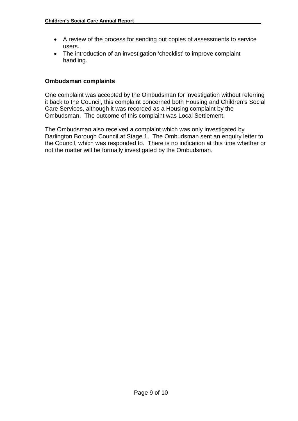- A review of the process for sending out copies of assessments to service users.
- The introduction of an investigation 'checklist' to improve complaint handling.

## **Ombudsman complaints**

One complaint was accepted by the Ombudsman for investigation without referring it back to the Council, this complaint concerned both Housing and Children's Social Care Services, although it was recorded as a Housing complaint by the Ombudsman. The outcome of this complaint was Local Settlement.

The Ombudsman also received a complaint which was only investigated by Darlington Borough Council at Stage 1. The Ombudsman sent an enquiry letter to the Council, which was responded to. There is no indication at this time whether or not the matter will be formally investigated by the Ombudsman.